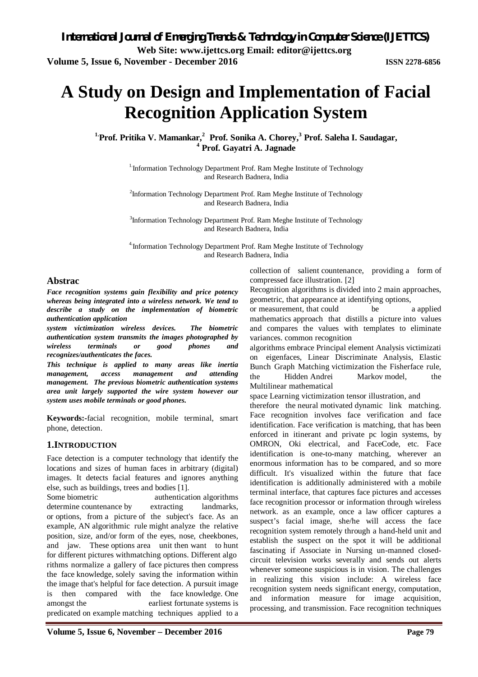# **A Study on Design and Implementation of Facial Recognition Application System**

**1.Prof. Pritika V. Mamankar, 2 Prof. Sonika A. Chorey, <sup>3</sup> Prof. Saleha I. Saudagar, <sup>4</sup> Prof. Gayatri A. Jagnade**

> <sup>1.</sup>Information Technology Department Prof. Ram Meghe Institute of Technology and Research Badnera, India

> <sup>2</sup>Information Technology Department Prof. Ram Meghe Institute of Technology and Research Badnera, India

> <sup>3</sup>Information Technology Department Prof. Ram Meghe Institute of Technology and Research Badnera, India

> 4.Information Technology Department Prof. Ram Meghe Institute of Technology and Research Badnera, India

# **Abstrac**

*Face recognition systems gain flexibility and price potency whereas being integrated into a wireless network. We tend to describe a study on the implementation of biometric authentication application* 

*system victimization wireless devices. The biometric authentication system transmits the images photographed by wireless terminals or good phones and recognizes/authenticates the faces.*

*This technique is applied to many areas like inertia management, access management and attending management. The previous biometric authentication systems area unit largely supported the wire system however our system uses mobile terminals or good phones.*

**Keywords:-**facial recognition, mobile terminal, smart phone, detection.

# **1.INTRODUCTION**

Face detection is a computer technology that identify the locations and sizes of human faces in arbitrary (digital) images. It detects facial features and ignores anything else, such as buildings, trees and bodies [1].

Some biometric authentication algorithms determine countenance by extracting landmarks, or options, from a picture of the subject's face. As an example, AN algorithmic rule might analyze the relative position, size, and/or form of the eyes, nose, cheekbones, and jaw. These options area unit then want to hunt for different pictures withmatching options. Different algo rithms normalize a gallery of face pictures then compress the face knowledge, solely saving the information within the image that's helpful for face detection. A pursuit image is then compared with the face knowledge. One amongst the earliest fortunate systems is predicated on example matching techniques applied to a collection of salient countenance, providing a form of compressed face illustration. [2]

Recognition algorithms is divided into 2 main approaches, geometric, that appearance at identifying options,

or measurement, that could be a applied mathematics approach that distills a picture into values and compares the values with templates to eliminate variances. common recognition

algorithms embrace Principal element Analysis victimizati on eigenfaces, Linear Discriminate Analysis, Elastic Bunch Graph Matching victimization the Fisherface rule, the Hidden Andrei Markov model, the Multilinear mathematical

space Learning victimization tensor illustration, and

therefore the neural motivated dynamic link matching. Face recognition involves face verification and face identification. Face verification is matching, that has been enforced in itinerant and private pc login systems, by OMRON, Oki electrical, and FaceCode, etc. Face identification is one-to-many matching, wherever an enormous information has to be compared, and so more difficult. It's visualized within the future that face identification is additionally administered with a mobile terminal interface, that captures face pictures and accesses face recognition processor or information through wireless network. as an example, once a law officer captures a suspect's facial image, she/he will access the face recognition system remotely through a hand-held unit and establish the suspect on the spot it will be additional fascinating if Associate in Nursing un-manned closedcircuit television works severally and sends out alerts whenever someone suspicious is in vision. The challenges in realizing this vision include: A wireless face recognition system needs significant energy, computation, and information measure for image acquisition, processing, and transmission. Face recognition techniques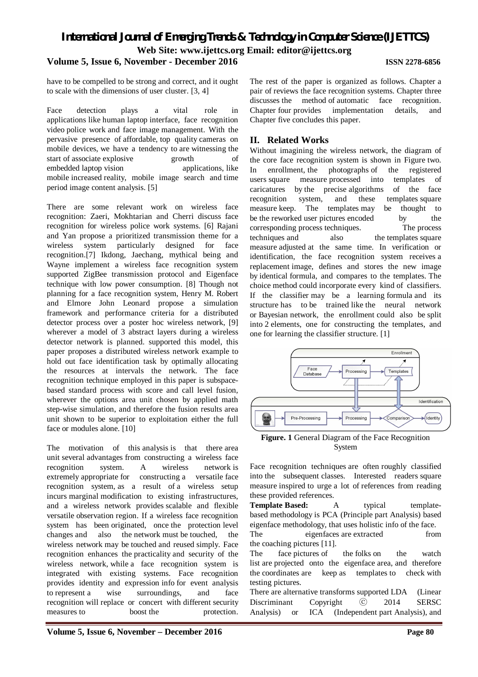# *International Journal of Emerging Trends & Technology in Computer Science (IJETTCS)* **Web Site: www.ijettcs.org Email: editor@ijettcs.org Volume 5, Issue 6, November - December 2016 ISSN 2278-6856**

have to be compelled to be strong and correct, and it ought to scale with the dimensions of user cluster. [3, 4]

Face detection plays a vital role in applications like human laptop interface, face recognition video police work and face image management. With the pervasive presence of affordable, top quality cameras on mobile devices, we have a tendency to are witnessing the start of associate explosive growth of start of associate explosive growth of embedded laptop vision applications, like mobile increased reality, mobile image search and time period image content analysis. [5]

There are some relevant work on wireless face recognition: Zaeri, Mokhtarian and Cherri discuss face recognition for wireless police work systems. [6] Rajani and Yan propose a prioritized transmission theme for a wireless system particularly designed for face recognition.[7] Ikdong, Jaechang, mythical being and Wayne implement a wireless face recognition system supported ZigBee transmission protocol and Eigenface technique with low power consumption. [8] Though not planning for a face recognition system, Henry M. Robert and Elmore John Leonard propose a simulation framework and performance criteria for a distributed detector process over a poster hoc wireless network, [9] wherever a model of 3 abstract layers during a wireless detector network is planned. supported this model, this paper proposes a distributed wireless network example to hold out face identification task by optimally allocating the resources at intervals the network. The face recognition technique employed in this paper is subspacebased standard process with score and call level fusion, wherever the options area unit chosen by applied math step-wise simulation, and therefore the fusion results area unit shown to be superior to exploitation either the full face or modules alone. [10]

The motivation of this analysis is that there area unit several advantages from constructing a wireless face recognition system. A wireless network is extremely appropriate for constructing a versatile face recognition system, as a result of a wireless setup incurs marginal modification to existing infrastructures, and a wireless network provides scalable and flexible versatile observation region. If a wireless face recognition system has been originated, once the protection level changes and also the network must be touched, the wireless network may be touched and reused simply. Face recognition enhances the practicality and security of the wireless network, while a face recognition system is integrated with existing systems. Face recognition provides identity and expression info for event analysis to represent a wise surroundings, and face recognition will replace or concert with different security measures to boost the protection.

The rest of the paper is organized as follows. Chapter a pair of reviews the face recognition systems. Chapter three discusses the method of automatic face recognition. Chapter four provides implementation details, and Chapter five concludes this paper.

# **II. Related Works**

Without imagining the wireless network, the diagram of the core face recognition system is shown in Figure two. In enrollment, the photographs of the registered users square measure processed into templates of caricatures by the precise algorithms of the face recognition system, and these templates square measure keep. The templates may be thought to be the reworked user pictures encoded by the corresponding process techniques. The process techniques and also the templates square measure adjusted at the same time. In verification or identification, the face recognition system receives a replacement image, defines and stores the new image by identical formula, and compares to the templates. The choice method could incorporate every kind of classifiers. If the classifier may be a learning formula and its structure has to be trained like the neural network or Bayesian network, the enrollment could also be split into 2 elements, one for constructing the templates, and one for learning the classifier structure. [1]



**Figure. 1** General Diagram of the Face Recognition System

Face recognition techniques are often roughly classified into the subsequent classes. Interested readers square measure inspired to urge a lot of references from reading these provided references.

**Template Based:** A typical templatebased methodology is PCA (Principle part Analysis) based eigenface methodology, that uses holistic info of the face.

The eigenfaces are extracted from the coaching pictures [11].

The face pictures of the folks on the watch list are projected onto the eigenface area, and therefore the coordinates are keep as templates to check with testing pictures.

There are alternative transforms supported LDA (Linear Discriminant Copyright ⓒ 2014 SERSC Analysis) or ICA (Independent part Analysis), and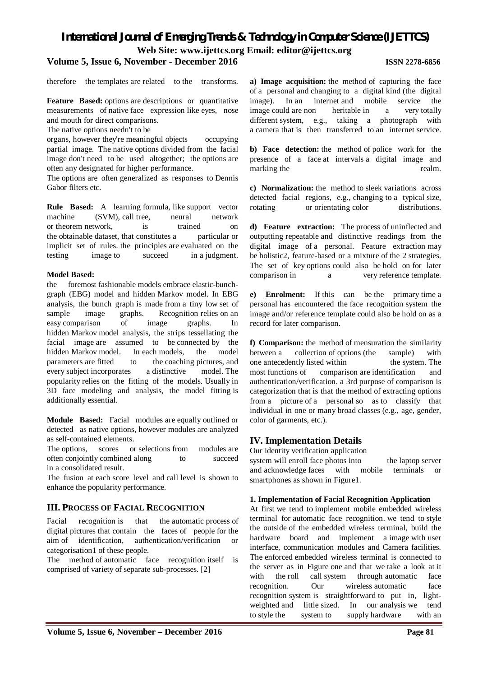# *International Journal of Emerging Trends & Technology in Computer Science (IJETTCS)* **Web Site: www.ijettcs.org Email: editor@ijettcs.org**

# **Volume 5, Issue 6, November - December 2016 ISSN 2278-6856**

therefore the templates are related to the transforms.

**Feature Based:** options are descriptions or quantitative measurements of native face expression like eyes, nose and mouth for direct comparisons.

The native options needn't to be

organs, however they're meaningful objects occupying partial image. The native options divided from the facial image don't need to be used altogether; the options are often any designated for higher performance.

The options are often generalized as responses to Dennis Gabor filters etc.

**Rule Based:** A learning formula, like support vector machine (SVM), call tree, neural network or theorem network, is trained on the obtainable dataset, that constitutes a particular or implicit set of rules. the principles are evaluated on the testing image to succeed in a judgment.

#### **Model Based:**

the foremost fashionable models embrace elastic-bunchgraph (EBG) model and hidden Markov model. In EBG analysis, the bunch graph is made from a tiny low set of sample image graphs. Recognition relies on an easy comparison of image graphs. In hidden Markov model analysis, the strips tessellating the facial image are assumed to be connected by the hidden Markov model. In each models, the model parameters are fitted to the coaching pictures, and every subject incorporates a distinctive model. The popularity relies on the fitting of the models. Usually in 3D face modeling and analysis, the model fitting is additionally essential.

**Module Based:** Facial modules are equally outlined or detected as native options, however modules are analyzed as self-contained elements.

The options, scores or selections from modules are often conjointly combined along to succeed in a consolidated result.

The fusion at each score level and call level is shown to enhance the popularity performance.

# **III. PROCESS OF FACIAL RECOGNITION**

Facial recognition is that the automatic process of digital pictures that contain the faces of people for the aim of identification, authentication/verification or categorisation1 of these people.

The method of automatic face recognition itself is comprised of variety of separate sub-processes. [2]

**a) Image acquisition:** the method of capturing the face of a personal and changing to a digital kind (the digital image). In an internet and mobile service the image could are non heritable in a very totally different system, e.g., taking a photograph with a camera that is then transferred to an internet service.

**b) Face detection:** the method of police work for the presence of a face at intervals a digital image and marking the realm.

**c) Normalization:** the method to sleek variations across detected facial regions, e.g., changing to a typical size, rotating or orientating color distributions.

**d) Feature extraction:** The process of uninflected and outputting repeatable and distinctive readings from the digital image of a personal. Feature extraction may be holistic2, feature-based or a mixture of the 2 strategies. The set of key options could also be hold on for later comparison in a very reference template.

**e) Enrolment:** If this can be the primary time a personal has encountered the face recognition system the image and/or reference template could also be hold on as a record for later comparison.

**f) Comparison:** the method of mensuration the similarity between a collection of options (the sample) with one antecedently listed within the system. The most functions of comparison are identification and authentication/verification. a 3rd purpose of comparison is categorization that is that the method of extracting options from a picture of a personal so as to classify that individual in one or many broad classes (e.g., age, gender, color of garments, etc.).

# **IV. Implementation Details**

Our identity verification application

system will enroll face photos into the laptop server and acknowledge faces with mobile terminals or smartphones as shown in Figure1.

#### **1. Implementation of Facial Recognition Application**

At first we tend to implement mobile embedded wireless terminal for automatic face recognition. we tend to style the outside of the embedded wireless terminal, build the hardware board and implement a image with user interface, communication modules and Camera facilities. The enforced embedded wireless terminal is connected to the server as in Figure one and that we take a look at it with the roll call system through automatic face recognition. Our wireless automatic face recognition system is straightforward to put in, lightweighted and little sized. In our analysis we tend to style the system to supply hardware with an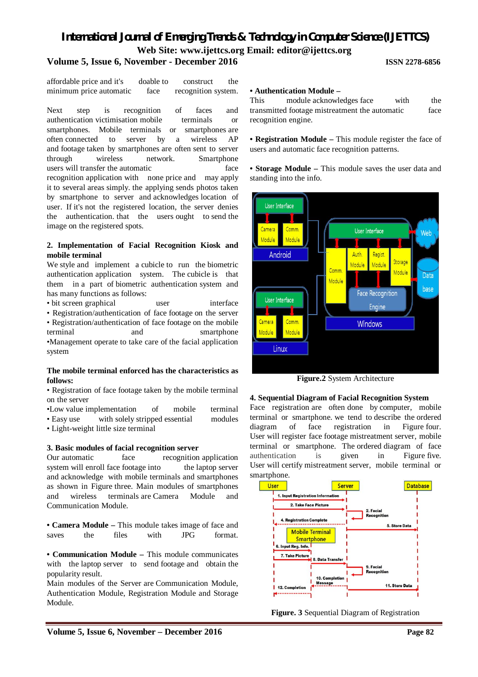# *International Journal of Emerging Trends & Technology in Computer Science (IJETTCS)* **Web Site: www.ijettcs.org Email: editor@ijettcs.org**

# **Volume 5, Issue 6, November - December 2016 ISSN 2278-6856**

affordable price and it's doable to construct the minimum price automatic face recognition system.

Next step is recognition of faces and authentication victimisation mobile terminals or smartphones. Mobile terminals or smartphones are often connected to server by a wireless AP and footage taken by smartphones are often sent to server through wireless network. Smartphone users will transfer the automatic face recognition application with none price and may apply it to several areas simply. the applying sends photos taken by smartphone to server and acknowledges location of user. If it's not the registered location, the server denies the authentication. that the users ought to send the image on the registered spots.

#### **2. Implementation of Facial Recognition Kiosk and mobile terminal**

We style and implement a cubicle to run the biometric authentication application system. The cubicle is that them in a part of biometric authentication system and has many functions as follows:

• bit screen graphical user interface

• Registration/authentication of face footage on the server

• Registration/authentication of face footage on the mobile terminal and smartphone •Management operate to take care of the facial application system

#### **The mobile terminal enforced has the characteristics as follows:**

• Registration of face footage taken by the mobile terminal on the server

•Low value implementation of mobile terminal

• Easy use with solely stripped essential modules

• Light-weight little size terminal

#### **3. Basic modules of facial recognition server**

Our automatic face recognition application system will enroll face footage into the laptop server and acknowledge with mobile terminals and smartphones as shown in Figure three. Main modules of smartphones and wireless terminals are Camera Module Communication Module.

**• Camera Module –** This module takes image of face and saves the files with JPG format.

**• Communication Module –** This module communicates with the laptop server to send footage and obtain the popularity result.

Main modules of the Server are Communication Module, Authentication Module, Registration Module and Storage Module.

#### **• Authentication Module –**

This module acknowledges face with the transmitted footage mistreatment the automatic face recognition engine.

**• Registration Module –** This module register the face of users and automatic face recognition patterns.

**• Storage Module –** This module saves the user data and standing into the info.



**Figure.2** System Architecture

#### **4. Sequential Diagram of Facial Recognition System**

Face registration are often done by computer, mobile terminal or smartphone. we tend to describe the ordered diagram of face registration in Figure four. User will register face footage mistreatment server, mobile terminal or smartphone. The ordered diagram of face authentication is given in Figure five. User will certify mistreatment server, mobile terminal or smartphone.



**Figure. 3** Sequential Diagram of Registration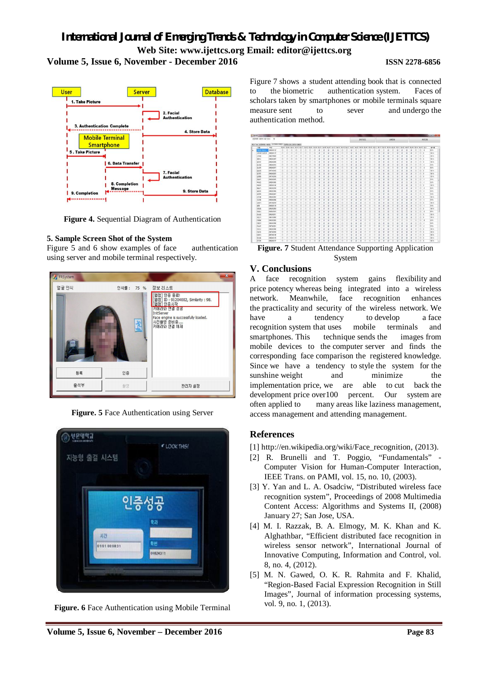



**Figure 4.** Sequential Diagram of Authentication

# **5. Sample Screen Shot of the System**

Figure 5 and 6 show examples of face authentication using server and mobile terminal respectively.



**Figure. 5** Face Authentication using Server



**Figure. 6** Face Authentication using Mobile Terminal

Figure 7 shows a student attending book that is connected to the biometric authentication system. Faces of scholars taken by smartphones or mobile terminals square measure sent to sever and undergo the authentication method.

| <b>B2NN 12m2 02:28: 6</b>                   |            |              |   |                   |  |  |  |  |  |   |                |                |                         | <b>BOJ995</b> |                                                                                                                                           | 动神器架                     |                          |                |  |     |   |    |  | 神経辺路           |   |          |                              |   |      |        |             |
|---------------------------------------------|------------|--------------|---|-------------------|--|--|--|--|--|---|----------------|----------------|-------------------------|---------------|-------------------------------------------------------------------------------------------------------------------------------------------|--------------------------|--------------------------|----------------|--|-----|---|----|--|----------------|---|----------|------------------------------|---|------|--------|-------------|
| BS Tel: BIBBB(ING) ESTRITONS (BRILEDBBIGHE) |            |              |   |                   |  |  |  |  |  |   |                |                |                         |               |                                                                                                                                           |                          |                          |                |  |     |   |    |  |                |   |          |                              |   |      |        |             |
| 白眉                                          | - 9th      |              |   | 05/03 03/08 05/10 |  |  |  |  |  |   |                |                |                         |               | 03/15 03/17 03/22 03/24 03/29 03/31 04/05 04/07 04/12 04/14 04/15 04/21 04/25 04/26 05/03 06/05 06/12 05/17 05/17 05/18 05/24 05/26 06/02 |                          |                          |                |  |     |   |    |  |                |   |          | 06/07 06/09 06/14 06/16 81-0 |   |      |        | 豊位県         |
| 13 S R 3 H                                  | mousting   | m            |   |                   |  |  |  |  |  |   |                |                |                         |               |                                                                                                                                           |                          |                          |                |  | v   |   |    |  |                |   | Q        | ö                            |   | п    | $-3$   | 加区          |
| 201820409 20000137                          |            | n            |   |                   |  |  |  |  |  |   | $\overline{u}$ | $\alpha$       | o                       | ۰             |                                                                                                                                           | o                        | $\overline{u}$           | $\overline{u}$ |  | o   | ۰ | V. |  | $\overline{u}$ | × | <b>V</b> | ×                            | m | 11.9 |        | 100 %       |
| 218                                         | 2006225003 | E            |   |                   |  |  |  |  |  |   |                |                |                         |               |                                                                                                                                           |                          |                          |                |  | s   |   |    |  |                | v | ü        |                              |   | n    | ٠      | 100 N       |
| <b>RNG</b>                                  | 2006242007 | E            | n |                   |  |  |  |  |  |   |                |                |                         |               |                                                                                                                                           |                          |                          |                |  | ٢   |   |    |  |                |   | v        |                              |   | n    | ×      | 100 %       |
| 225                                         | 200212008  | в            |   |                   |  |  |  |  |  |   |                |                |                         |               |                                                                                                                                           |                          |                          |                |  |     |   |    |  |                |   |          |                              |   | n    |        | 100%        |
| 岩分裂                                         | 2006242016 | и            |   |                   |  |  |  |  |  |   |                |                |                         |               |                                                                                                                                           |                          |                          |                |  |     |   |    |  |                |   |          |                              |   |      | ы      | 193 %       |
| 容望性                                         | 2002/05/17 | m            |   |                   |  |  |  |  |  |   |                |                |                         |               |                                                                                                                                           |                          |                          |                |  |     |   |    |  |                |   |          |                              |   | n    | L2     | 医加          |
| 岩和降                                         | 2007242036 |              |   |                   |  |  |  |  |  |   |                |                |                         |               |                                                                                                                                           |                          |                          |                |  |     |   |    |  |                |   |          |                              |   |      |        | 100 %       |
| 감자만                                         | 200242021  | n            |   |                   |  |  |  |  |  |   |                |                |                         |               |                                                                                                                                           |                          |                          |                |  |     |   |    |  |                |   |          |                              |   | ×    |        | 100%        |
| are                                         | 2007042039 |              |   |                   |  |  |  |  |  |   |                |                |                         |               |                                                                                                                                           |                          |                          |                |  |     |   |    |  |                |   | ö        |                              |   | ×    |        | 100%        |
| 岩凝布                                         | 2006242025 |              |   |                   |  |  |  |  |  |   | o              | $\circ$        |                         |               |                                                                                                                                           |                          |                          |                |  |     |   |    |  |                |   |          |                              |   | n    | Ta K   | <b>93 %</b> |
| <b>MAD</b>                                  | 2009243095 |              |   |                   |  |  |  |  |  |   |                |                | u                       |               |                                                                                                                                           |                          |                          |                |  |     |   |    |  |                |   |          |                              |   |      | 54     | 93 %        |
| 1052                                        | 200628354  | m            |   |                   |  |  |  |  |  |   |                |                |                         |               |                                                                                                                                           |                          |                          |                |  |     |   |    |  |                |   |          |                              |   | 'n   | ×      | 100%        |
| <b>YER 75</b>                               | 2006242038 |              |   |                   |  |  |  |  |  |   |                |                |                         |               |                                                                                                                                           |                          |                          |                |  |     |   |    |  |                |   |          |                              |   |      | 14     | BK N        |
| 会社会                                         | 200042546  | n            |   |                   |  |  |  |  |  |   |                |                |                         |               |                                                                                                                                           |                          |                          |                |  |     |   |    |  |                |   |          |                              |   |      | $-1$   | 30%         |
| 会查帐                                         | 2006182047 | 'n           |   |                   |  |  |  |  |  |   |                |                |                         |               |                                                                                                                                           |                          |                          |                |  |     |   |    |  |                |   |          |                              |   | b    | 54     | 33%         |
| 行望着                                         | 2006242092 |              |   |                   |  |  |  |  |  |   |                |                |                         |               |                                                                                                                                           |                          |                          |                |  |     |   |    |  |                |   |          |                              |   |      |        | 100 N       |
| 270                                         | 2006242964 |              |   |                   |  |  |  |  |  |   |                |                |                         |               |                                                                                                                                           |                          |                          |                |  |     |   |    |  |                |   |          |                              |   |      |        | 33 %        |
| 全事件                                         | 2007042679 |              |   |                   |  |  |  |  |  |   | ь              |                |                         |               |                                                                                                                                           |                          |                          |                |  | ö   |   |    |  |                |   | ü        |                              |   |      |        | 100 %       |
| <b>IVR</b>                                  | 2009243139 |              |   |                   |  |  |  |  |  |   | ь              | o              | ü                       | ٠             |                                                                                                                                           | x                        |                          |                |  | ۰   |   |    |  |                |   | ü        | ü                            |   | n    | $\sim$ | $-93.56$    |
| <b>282</b>                                  | 2006342069 | B            |   |                   |  |  |  |  |  |   | ь              | ×              | u                       | ۵             |                                                                                                                                           |                          | a                        |                |  | t   |   | a  |  | u              |   | o        | ٠                            |   | n    |        | $100\%$     |
| SXU                                         | 2009/43015 | B            |   |                   |  |  |  |  |  |   | ú              | u              | u                       | s             |                                                                                                                                           |                          |                          |                |  | v   |   | ٠  |  | u              | o |          | ь                            |   | 'n   | $\sim$ | 第3          |
| R@B                                         | 2006242671 |              |   |                   |  |  |  |  |  |   |                |                |                         |               |                                                                                                                                           |                          |                          |                |  |     |   |    |  |                |   |          |                              |   |      |        | 100 N       |
| 893                                         | 2006732950 | 'n           |   |                   |  |  |  |  |  |   |                |                |                         |               |                                                                                                                                           |                          |                          |                |  |     |   |    |  |                |   |          |                              |   | n    |        | 100%        |
| owe                                         | 2002/02/08 | n            |   |                   |  |  |  |  |  |   |                |                |                         |               |                                                                                                                                           |                          |                          |                |  |     |   |    |  |                |   |          |                              |   | n    |        | 都友          |
| owe                                         | 2000242006 |              |   |                   |  |  |  |  |  |   |                |                |                         |               |                                                                                                                                           |                          |                          |                |  |     |   |    |  |                |   |          |                              |   |      | ×      | 33 N        |
| <b>Get</b>                                  | 2007542691 | 'n           |   |                   |  |  |  |  |  |   |                |                |                         |               |                                                                                                                                           |                          |                          |                |  |     |   |    |  |                |   |          |                              |   | n    | - 1    | 图 8         |
| 0.86                                        | 2006242096 |              |   |                   |  |  |  |  |  |   | 9              | $\overline{u}$ |                         |               |                                                                                                                                           |                          |                          |                |  |     |   |    |  |                |   | s        | ü                            |   |      |        | 100%        |
| 白恶堂                                         | 2007242096 | n            |   |                   |  |  |  |  |  |   |                |                |                         |               |                                                                                                                                           |                          |                          |                |  |     |   |    |  |                |   | ü        | ü                            |   | n    |        | 100 %       |
| <b>lose</b>                                 | 2007542104 | в            |   |                   |  |  |  |  |  |   | w              | ×              | $\overline{\mathbf{x}}$ | ų             |                                                                                                                                           |                          | 9Y                       |                |  | о   |   | ۵  |  | ۵              | u | V.       | W                            |   | 25   |        | 100%        |
| 登望書                                         | 2006242105 | Ð            |   |                   |  |  |  |  |  | u | u              | R              | v                       | u             |                                                                                                                                           | ×                        | $\overline{\mathscr{L}}$ | $\overline{u}$ |  | V.  | ۰ | ٠  |  | $\overline{a}$ | × | ×        | 9                            | B | E1 0 |        | 100 N       |
| 行政部                                         | 2006242107 | $\mathbb{R}$ |   |                   |  |  |  |  |  |   | ×              | v.             | $\sim$                  | ×             |                                                                                                                                           | $\overline{\mathcal{L}}$ | ×                        | $\overline{a}$ |  | SF. | ٠ | v  |  | ×              | w | w        | ×                            | B | 四角   |        | 100 %       |

**Figure. 7** Student Attendance Supporting Application System

# **V. Conclusions**

A face recognition system gains flexibility and price potency whereas being integrated into a wireless network. Meanwhile, face recognition enhances the practicality and security of the wireless network. We have a tendency to develop a face recognition system that uses mobile terminals and smartphones. This technique sends the images from mobile devices to the computer server and finds the corresponding face comparison the registered knowledge. Since we have a tendency to style the system for the sunshine weight and minimize the implementation price, we are able to cut back the development price over 100 percent. Our system are often applied to many areas like laziness management, access management and attending management.

# **References**

- [1] http://en.wikipedia.org/wiki/Face\_recognition, (2013).
- [2] R. Brunelli and T. Poggio, "Fundamentals" Computer Vision for Human-Computer Interaction, IEEE Trans. on PAMI, vol. 15, no. 10, (2003).
- [3] Y. Yan and L. A. Osadciw, "Distributed wireless face recognition system", Proceedings of 2008 Multimedia Content Access: Algorithms and Systems II, (2008) January 27; San Jose, USA.
- [4] M. I. Razzak, B. A. Elmogy, M. K. Khan and K. Alghathbar, "Efficient distributed face recognition in wireless sensor network", International Journal of Innovative Computing, Information and Control, vol. 8, no. 4, (2012).
- [5] M. N. Gawed, O. K. R. Rahmita and F. Khalid, "Region-Based Facial Expression Recognition in Still Images", Journal of information processing systems, vol. 9, no. 1, (2013).